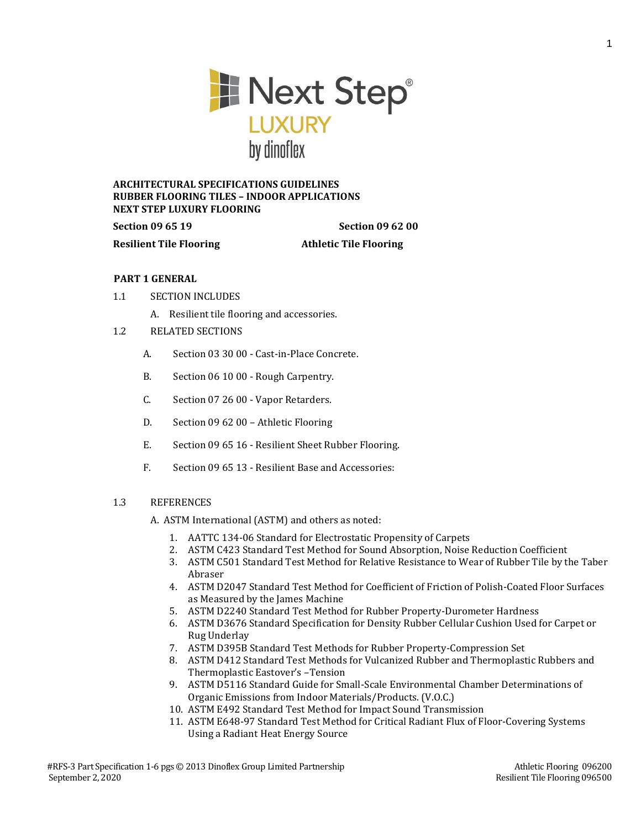

## **ARCHITECTURAL SPECIFICATIONS GUIDELINES RUBBER FLOORING TILES – INDOOR APPLICATIONS NEXT STEP LUXURY FLOORING**

**Section 09 65 19 Section 09 62 00 Resilient Tile Flooring Athletic Tile Flooring**

# **PART 1 GENERAL**

- 1.1 SECTION INCLUDES
	- A. Resilient tile flooring and accessories.
- 1.2 RELATED SECTIONS
	- A. Section 03 30 00 Cast-in-Place Concrete.
	- B. Section 06 10 00 Rough Carpentry.
	- C. Section 07 26 00 Vapor Retarders.
	- D. Section 09 62 00 Athletic Flooring
	- E. Section 09 65 16 Resilient Sheet Rubber Flooring.
	- F. Section 09 65 13 Resilient Base and Accessories:

# 1.3 REFERENCES

A. ASTM International (ASTM) and others as noted:

- 1. AATTC 134-06 Standard for Electrostatic Propensity of Carpets
- 2. ASTM C423 Standard Test Method for Sound Absorption, Noise Reduction Coefficient
- 3. ASTM C501 Standard Test Method for Relative Resistance to Wear of Rubber Tile by the Taber Abraser
- 4. ASTM D2047 Standard Test Method for Coefficient of Friction of Polish-Coated Floor Surfaces as Measured by the James Machine
- 5. ASTM D2240 Standard Test Method for Rubber Property-Durometer Hardness
- 6. ASTM D3676 Standard Specification for Density Rubber Cellular Cushion Used for Carpet or Rug Underlay
- 7. ASTM D395B Standard Test Methods for Rubber Property-Compression Set
- 8. ASTM D412 Standard Test Methods for Vulcanized Rubber and Thermoplastic Rubbers and Thermoplastic Eastover's –Tension
- 9. ASTM D5116 Standard Guide for Small-Scale Environmental Chamber Determinations of Organic Emissions from Indoor Materials/Products. (V.O.C.)
- 10. ASTM E492 Standard Test Method for Impact Sound Transmission
- 11. ASTM E648-97 Standard Test Method for Critical Radiant Flux of Floor-Covering Systems Using a Radiant Heat Energy Source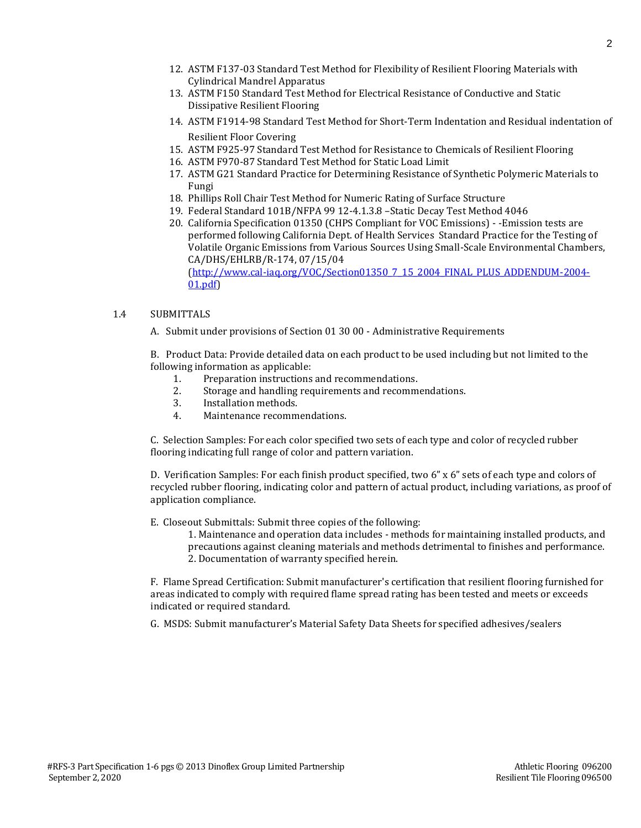- 12. ASTM F137-03 Standard Test Method for Flexibility of Resilient Flooring Materials with Cylindrical Mandrel Apparatus
- 13. ASTM F150 Standard Test Method for Electrical Resistance of Conductive and Static Dissipative Resilient Flooring
- 14. ASTM F1914-98 Standard Test Method for Short-Term Indentation and Residual indentation of Resilient Floor Covering
- 15. ASTM F925-97 Standard Test Method for Resistance to Chemicals of Resilient Flooring
- 16. ASTM F970-87 Standard Test Method for Static Load Limit
- 17. ASTM G21 Standard Practice for Determining Resistance of Synthetic Polymeric Materials to Fungi
- 18. Phillips Roll Chair Test Method for Numeric Rating of Surface Structure
- 19. Federal Standard 101B/NFPA 99 12-4.1.3.8 –Static Decay Test Method 4046
- 20. California Specification 01350 (CHPS Compliant for VOC Emissions) -Emission tests are performed following California Dept. of Health Services Standard Practice for the Testing of Volatile Organic Emissions from Various Sources Using Small-Scale Environmental Chambers, CA/DHS/EHLRB/R-174, 07/15/04 [\(http://www.cal-iaq.org/VOC/Section01350\\_7\\_15\\_2004\\_FINAL\\_PLUS\\_ADDENDUM-2004-](http://www.cal-iaq.org/VOC/Section01350_7_15_2004_FINAL_PLUS_ADDENDUM-2004-01.pdf)

```
01.pdf)
```
### 1.4 SUBMITTALS

A. Submit under provisions of Section 01 30 00 - Administrative Requirements

B. Product Data: Provide detailed data on each product to be used including but not limited to the following information as applicable:

- 1. Preparation instructions and recommendations.
- 2. Storage and handling requirements and recommendations.
- 3. Installation methods.
- 4. Maintenance recommendations.

C. Selection Samples: For each color specified two sets of each type and color of recycled rubber flooring indicating full range of color and pattern variation.

D. Verification Samples: For each finish product specified, two 6" x 6" sets of each type and colors of recycled rubber flooring, indicating color and pattern of actual product, including variations, as proof of application compliance.

- E. Closeout Submittals: Submit three copies of the following:
	- 1. Maintenance and operation data includes methods for maintaining installed products, and precautions against cleaning materials and methods detrimental to finishes and performance. 2. Documentation of warranty specified herein.

F. Flame Spread Certification: Submit manufacturer's certification that resilient flooring furnished for areas indicated to comply with required flame spread rating has been tested and meets or exceeds indicated or required standard.

G. MSDS: Submit manufacturer's Material Safety Data Sheets for specified adhesives/sealers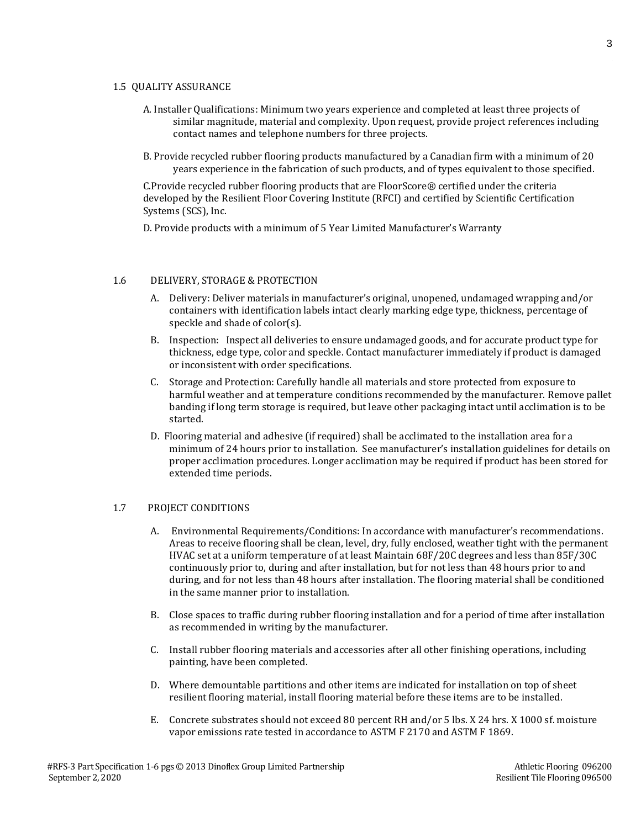#### 1.5 QUALITY ASSURANCE

- A. Installer Qualifications: Minimum two years experience and completed at least three projects of similar magnitude, material and complexity. Upon request, provide project references including contact names and telephone numbers for three projects.
- B. Provide recycled rubber flooring products manufactured by a Canadian firm with a minimum of 20 years experience in the fabrication of such products, and of types equivalent to those specified.

C.Provide recycled rubber flooring products that are FloorScore® certified under the criteria developed by the Resilient Floor Covering Institute (RFCI) and certified by Scientific Certification Systems (SCS), Inc.

D. Provide products with a minimum of 5 Year Limited Manufacturer's Warranty

#### 1.6 DELIVERY, STORAGE & PROTECTION

- A. Delivery: Deliver materials in manufacturer's original, unopened, undamaged wrapping and/or containers with identification labels intact clearly marking edge type, thickness, percentage of speckle and shade of color(s).
- B. Inspection: Inspect all deliveries to ensure undamaged goods, and for accurate product type for thickness, edge type, color and speckle. Contact manufacturer immediately if product is damaged or inconsistent with order specifications.
- C. Storage and Protection: Carefully handle all materials and store protected from exposure to harmful weather and at temperature conditions recommended by the manufacturer. Remove pallet banding if long term storage is required, but leave other packaging intact until acclimation is to be started.
- D. Flooring material and adhesive (if required) shall be acclimated to the installation area for a minimum of 24 hours prior to installation. See manufacturer's installation guidelines for details on proper acclimation procedures. Longer acclimation may be required if product has been stored for extended time periods.

### 1.7 PROJECT CONDITIONS

- A. Environmental Requirements/Conditions: In accordance with manufacturer's recommendations. Areas to receive flooring shall be clean, level, dry, fully enclosed, weather tight with the permanent HVAC set at a uniform temperature of at least Maintain 68F/20C degrees and less than 85F/30C continuously prior to, during and after installation, but for not less than 48 hours prior to and during, and for not less than 48 hours after installation. The flooring material shall be conditioned in the same manner prior to installation.
- B. Close spaces to traffic during rubber flooring installation and for a period of time after installation as recommended in writing by the manufacturer.
- C. Install rubber flooring materials and accessories after all other finishing operations, including painting, have been completed.
- D. Where demountable partitions and other items are indicated for installation on top of sheet resilient flooring material, install flooring material before these items are to be installed.
- E. Concrete substrates should not exceed 80 percent RH and/or 5 lbs. X 24 hrs. X 1000 sf. moisture vapor emissions rate tested in accordance to ASTM F 2170 and ASTM F 1869.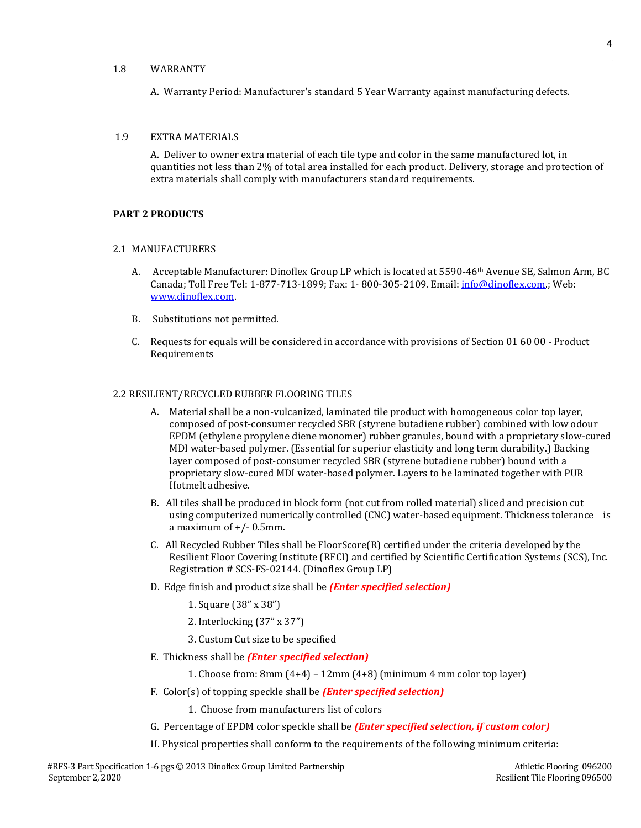### 1.8 WARRANTY

A. Warranty Period: Manufacturer's standard 5 Year Warranty against manufacturing defects.

#### 1.9 EXTRA MATERIALS

A. Deliver to owner extra material of each tile type and color in the same manufactured lot, in quantities not less than 2% of total area installed for each product. Delivery, storage and protection of extra materials shall comply with manufacturers standard requirements.

# **PART 2 PRODUCTS**

#### 2.1 MANUFACTURERS

- A. Acceptable Manufacturer: Dinoflex Group LP which is located at 5590-46<sup>th</sup> Avenue SE, Salmon Arm, BC Canada; Toll Free Tel: 1-877-713-1899; Fax: 1- 800-305-2109. Email: [info@dinoflex.com.;](mailto:info@dinoflex.com) Web: [www.dinoflex.com.](http://www.dinoflex.com/)
- B. Substitutions not permitted.
- C. Requests for equals will be considered in accordance with provisions of Section 01 60 00 Product **Requirements**

#### 2.2 RESILIENT/RECYCLED RUBBER FLOORING TILES

- A. Material shall be a non-vulcanized, laminated tile product with homogeneous color top layer, composed of post-consumer recycled SBR (styrene butadiene rubber) combined with low odour EPDM (ethylene propylene diene monomer) rubber granules, bound with a proprietary slow-cured MDI water-based polymer. (Essential for superior elasticity and long term durability.) Backing layer composed of post-consumer recycled SBR (styrene butadiene rubber) bound with a proprietary slow-cured MDI water-based polymer. Layers to be laminated together with PUR Hotmelt adhesive.
- B. All tiles shall be produced in block form (not cut from rolled material) sliced and precision cut using computerized numerically controlled (CNC) water-based equipment. Thickness tolerance is a maximum of  $+/-$  0.5mm.
- C. All Recycled Rubber Tiles shall be FloorScore(R) certified under the criteria developed by the Resilient Floor Covering Institute (RFCI) and certified by Scientific Certification Systems (SCS), Inc. Registration # SCS-FS-02144. (Dinoflex Group LP)
- D. Edge finish and product size shall be *(Enter specified selection)*
	- 1. Square (38" x 38")
	- 2. Interlocking (37" x 37")
	- 3. Custom Cut size to be specified
- E. Thickness shall be *(Enter specified selection)*
	- 1. Choose from: 8mm  $(4+4)$  12mm  $(4+8)$  (minimum 4 mm color top layer)
- F. Color(s) of topping speckle shall be *(Enter specified selection)*
	- 1. Choose from manufacturers list of colors
- G. Percentage of EPDM color speckle shall be *(Enter specified selection, if custom color)*
- H. Physical properties shall conform to the requirements of the following minimum criteria: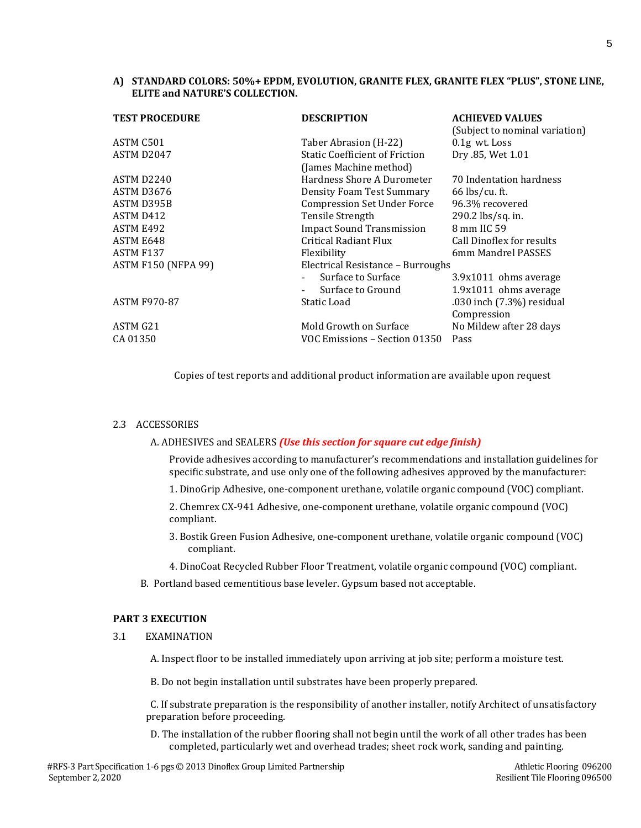## **A) STANDARD COLORS: 50%+ EPDM, EVOLUTION, GRANITE FLEX, GRANITE FLEX "PLUS", STONE LINE, ELITE and NATURE'S COLLECTION.**

| <b>TEST PROCEDURE</b>      | <b>DESCRIPTION</b>                                              | <b>ACHIEVED VALUES</b><br>(Subject to nominal variation) |
|----------------------------|-----------------------------------------------------------------|----------------------------------------------------------|
| ASTM C501                  | Taber Abrasion (H-22)                                           | $0.1g$ wt. Loss                                          |
| ASTM D2047                 | <b>Static Coefficient of Friction</b><br>(James Machine method) | Dry .85, Wet 1.01                                        |
| ASTM D2240                 | Hardness Shore A Durometer                                      | 70 Indentation hardness                                  |
| ASTM D3676                 | <b>Density Foam Test Summary</b>                                | $66$ lbs/cu. ft.                                         |
| ASTM D395B                 | <b>Compression Set Under Force</b>                              | 96.3% recovered                                          |
| ASTM D412                  | <b>Tensile Strength</b>                                         | 290.2 lbs/sq. in.                                        |
| ASTM E492                  | <b>Impact Sound Transmission</b>                                | 8 mm IIC 59                                              |
| ASTM E648                  | Critical Radiant Flux                                           | Call Dinoflex for results                                |
| ASTM F137                  | Flexibility                                                     | 6mm Mandrel PASSES                                       |
| <b>ASTM F150 (NFPA 99)</b> | Electrical Resistance - Burroughs                               |                                                          |
|                            | Surface to Surface<br>Surface to Ground                         | 3.9x1011 ohms average<br>1.9x1011 ohms average           |
| ASTM F970-87               | Static Load                                                     | .030 inch (7.3%) residual<br>Compression                 |
| ASTM G21                   | Mold Growth on Surface                                          | No Mildew after 28 days                                  |
| CA 01350                   | VOC Emissions - Section 01350                                   | Pass                                                     |

Copies of test reports and additional product information are available upon request

### 2.3 ACCESSORIES

### A. ADHESIVES and SEALERS *(Use this section for square cut edge finish)*

Provide adhesives according to manufacturer's recommendations and installation guidelines for specific substrate, and use only one of the following adhesives approved by the manufacturer:

1. DinoGrip Adhesive, one-component urethane, volatile organic compound (VOC) compliant.

2. Chemrex CX-941 Adhesive, one-component urethane, volatile organic compound (VOC) compliant.

- 3. Bostik Green Fusion Adhesive, one-component urethane, volatile organic compound (VOC) compliant.
- 4. DinoCoat Recycled Rubber Floor Treatment, volatile organic compound (VOC) compliant.
- B. Portland based cementitious base leveler. Gypsum based not acceptable.

#### **PART 3 EXECUTION**

3.1 EXAMINATION

A. Inspect floor to be installed immediately upon arriving at job site; perform a moisture test.

B. Do not begin installation until substrates have been properly prepared.

C. If substrate preparation is the responsibility of another installer, notify Architect of unsatisfactory preparation before proceeding.

D. The installation of the rubber flooring shall not begin until the work of all other trades has been completed, particularly wet and overhead trades; sheet rock work, sanding and painting.